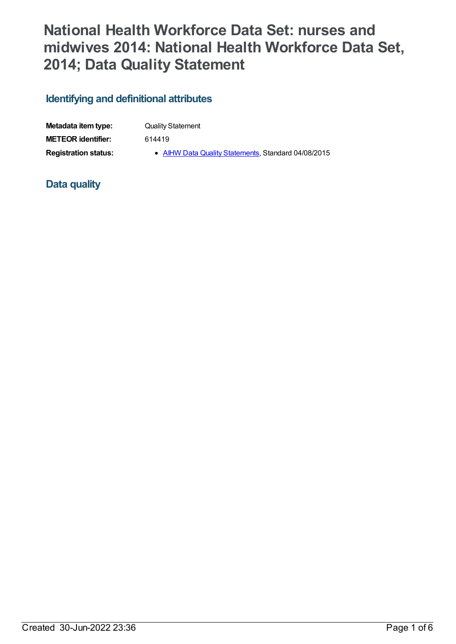# **National Health Workforce Data Set: nurses and midwives 2014: National Health Workforce Data Set, 2014; Data Quality Statement**

# **Identifying and definitional attributes**

| Metadata item type:         | <b>Quality Statement</b>                            |
|-----------------------------|-----------------------------------------------------|
| <b>METEOR identifier:</b>   | 614419                                              |
| <b>Registration status:</b> | • AIHW Data Quality Statements, Standard 04/08/2015 |

## **Data quality**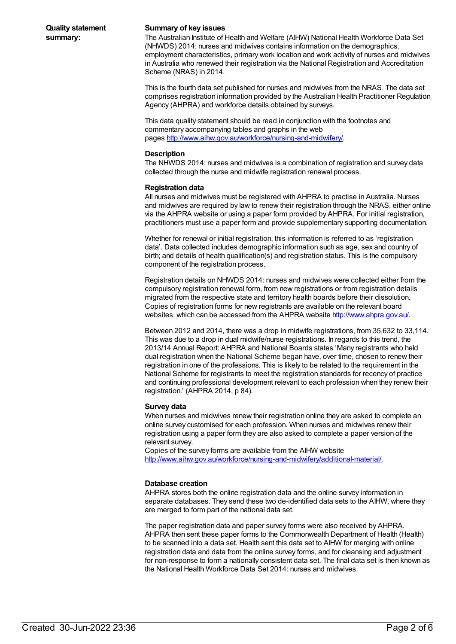### **Summary of key issues**

The Australian Institute of Health and Welfare (AIHW) National Health Workforce Data Set (NHWDS) 2014: nurses and midwives contains information on the demographics, employment characteristics, primary work location and work activity of nurses and midwives in Australia who renewed their registration via the National Registration and Accreditation Scheme (NRAS) in 2014.

This is the fourth data set published for nurses and midwives from the NRAS. The data set comprises registration information provided by the Australian Health Practitioner Regulation Agency (AHPRA) and workforce details obtained by surveys.

This data quality statement should be read in conjunction with the footnotes and commentary accompanying tables and graphs in the web pages <http://www.aihw.gov.au/workforce/nursing-and-midwifery/>.

#### **Description**

The NHWDS 2014: nurses and midwives is a combination of registration and survey data collected through the nurse and midwife registration renewal process.

#### **Registration data**

All nurses and midwives must be registered with AHPRA to practise in Australia. Nurses and midwives are required by law to renew their registration through the NRAS, either online via the AHPRA website or using a paper form provided by AHPRA. For initial registration, practitioners must use a paper form and provide supplementary supporting documentation.

Whether for renewal or initial registration, this information is referred to as 'registration data'. Data collected includes demographic information such as age, sex and country of birth; and details of health qualification(s) and registration status. This is the compulsory component of the registration process.

Registration details on NHWDS 2014: nurses and midwives were collected either from the compulsory registration renewal form, from new registrations or from registration details migrated from the respective state and territory health boards before their dissolution. Copies of registration forms for new registrants are available on the relevant board websites, which can be accessed from the AHPRA website <http://www.ahpra.gov.au/>.

Between 2012 and 2014, there was a drop in midwife registrations, from 35,632 to 33,114. This was due to a drop in dual midwife/nurse registrations. In regards to this trend, the 2013/14 Annual Report: AHPRA and National Boards states 'Many registrants who held dual registration when the National Scheme began have, over time, chosen to renew their registration in one of the professions. This is likely to be related to the requirement in the National Scheme for registrants to meet the registration standards for recency of practice and continuing professional development relevant to each profession when they renew their registration.' (AHPRA 2014, p 84).

#### **Survey data**

When nurses and midwives renew their registration online they are asked to complete an online survey customised for each profession. When nurses and midwives renew their registration using a paper form they are also asked to complete a paper version of the relevant survey.

Copies of the survey forms are available from the AIHW website <http://www.aihw.gov.au/workforce/nursing-and-midwifery/additional-material/>.

### **Database creation**

AHPRA stores both the online registration data and the online survey information in separate databases. They send these two de-identified data sets to the AIHW, where they are merged to form part of the national data set.

The paper registration data and paper survey forms were also received by AHPRA. AHPRA then sent these paper forms to the Commonwealth Department of Health (Health) to be scanned into a data set. Health sent this data set to AIHW for merging with online registration data and data from the online survey forms, and for cleansing and adjustment for non-response to form a nationally consistent data set. The final data set is then known as the National Health Workforce Data Set 2014: nurses and midwives.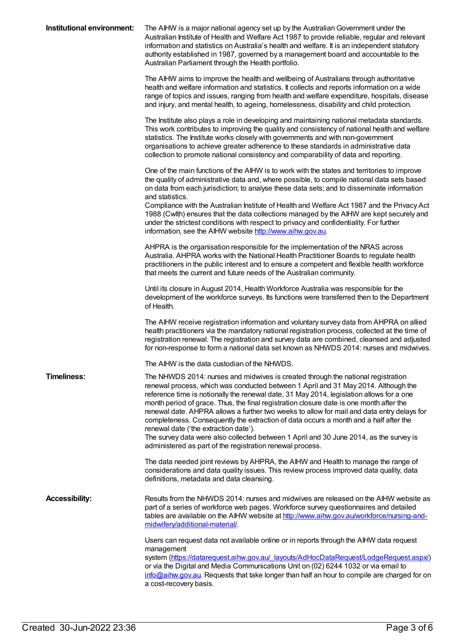| Institutional environment: | The AIHW is a major national agency set up by the Australian Government under the<br>Australian Institute of Health and Welfare Act 1987 to provide reliable, regular and relevant<br>information and statistics on Australia's health and welfare. It is an independent statutory<br>authority established in 1987, governed by a management board and accountable to the<br>Australian Parliament through the Health portfolio.                                                                                                                                                                                                                                                                                                                    |
|----------------------------|------------------------------------------------------------------------------------------------------------------------------------------------------------------------------------------------------------------------------------------------------------------------------------------------------------------------------------------------------------------------------------------------------------------------------------------------------------------------------------------------------------------------------------------------------------------------------------------------------------------------------------------------------------------------------------------------------------------------------------------------------|
|                            | The AIHW aims to improve the health and wellbeing of Australians through authoritative<br>health and welfare information and statistics. It collects and reports information on a wide<br>range of topics and issues, ranging from health and welfare expenditure, hospitals, disease<br>and injury, and mental health, to ageing, homelessness, disability and child protection.                                                                                                                                                                                                                                                                                                                                                                    |
|                            | The Institute also plays a role in developing and maintaining national metadata standards.<br>This work contributes to improving the quality and consistency of national health and welfare<br>statistics. The Institute works closely with governments and with non-government<br>organisations to achieve greater adherence to these standards in administrative data<br>collection to promote national consistency and comparability of data and reporting.                                                                                                                                                                                                                                                                                       |
|                            | One of the main functions of the AIHW is to work with the states and territories to improve<br>the quality of administrative data and, where possible, to compile national data sets based<br>on data from each jurisdiction; to analyse these data sets; and to disseminate information<br>and statistics.<br>Compliance with the Australian Institute of Health and Welfare Act 1987 and the Privacy Act<br>1988 (Cwlth) ensures that the data collections managed by the AIHW are kept securely and                                                                                                                                                                                                                                               |
|                            | under the strictest conditions with respect to privacy and confidentiality. For further<br>information, see the AIHW website http://www.aihw.gov.au.                                                                                                                                                                                                                                                                                                                                                                                                                                                                                                                                                                                                 |
|                            | AHPRA is the organisation responsible for the implementation of the NRAS across<br>Australia. AHPRA works with the National Health Practitioner Boards to regulate health<br>practitioners in the public interest and to ensure a competent and flexible health workforce<br>that meets the current and future needs of the Australian community.                                                                                                                                                                                                                                                                                                                                                                                                    |
|                            | Until its closure in August 2014, Health Workforce Australia was responsible for the<br>development of the workforce surveys. Its functions were transferred then to the Department<br>of Health.                                                                                                                                                                                                                                                                                                                                                                                                                                                                                                                                                    |
|                            | The AIHW receive registration information and voluntary survey data from AHPRA on allied<br>health practitioners via the mandatory national registration process, collected at the time of<br>registration renewal. The registration and survey data are combined, cleansed and adjusted<br>for non-response to form a national data set known as NHWDS 2014: nurses and midwives.                                                                                                                                                                                                                                                                                                                                                                   |
|                            | The AIHW is the data custodian of the NHWDS.                                                                                                                                                                                                                                                                                                                                                                                                                                                                                                                                                                                                                                                                                                         |
| <b>Timeliness:</b>         | The NHWDS 2014: nurses and midwives is created through the national registration<br>renewal process, which was conducted between 1 April and 31 May 2014. Although the<br>reference time is notionally the renewal date, 31 May 2014, legislation allows for a one<br>month period of grace. Thus, the final registration closure date is one month after the<br>renewal date. AHPRA allows a further two weeks to allow for mail and data entry delays for<br>completeness. Consequently the extraction of data occurs a month and a half after the<br>renewal date ('the extraction date').<br>The survey data were also collected between 1 April and 30 June 2014, as the survey is<br>administered as part of the registration renewal process. |
|                            | The data needed joint reviews by AHPRA, the AIHW and Health to manage the range of<br>considerations and data quality issues. This review process improved data quality, data<br>definitions, metadata and data cleansing.                                                                                                                                                                                                                                                                                                                                                                                                                                                                                                                           |
| <b>Accessibility:</b>      | Results from the NHWDS 2014: nurses and midwives are released on the AIHW website as<br>part of a series of workforce web pages. Workforce survey questionnaires and detailed<br>tables are available on the AIHW website at http://www.aihw.gov.au/workforce/nursing-and-<br>midwifery/additional-material/                                                                                                                                                                                                                                                                                                                                                                                                                                         |
|                            | Users can request data not available online or in reports through the AIHW data request<br>management<br>system (https://datarequest.aihw.gov.au/ layouts/AdHocDataRequest/LodgeRequest.aspx/)<br>or via the Digital and Media Communications Unit on (02) 6244 1032 or via email to<br>info@aihw.gov.au. Requests that take longer than half an hour to compile are charged for on<br>a cost-recovery basis.                                                                                                                                                                                                                                                                                                                                        |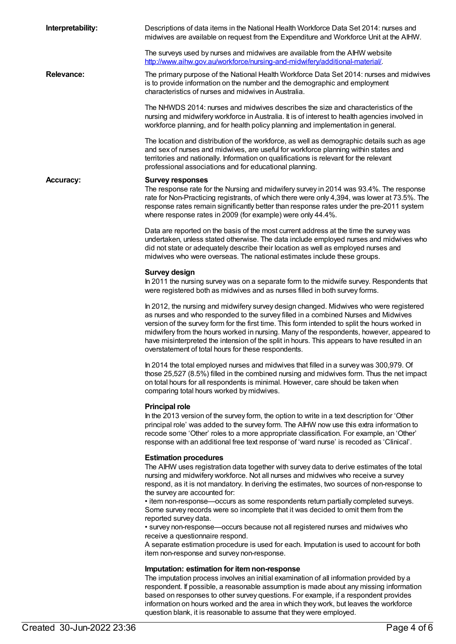| Interpretability: | Descriptions of data items in the National Health Workforce Data Set 2014: nurses and<br>midwives are available on request from the Expenditure and Workforce Unit at the AIHW.                                                                                                                                                                                                                                                                                                                                                                                                                                                                                                                                                                                                                                    |
|-------------------|--------------------------------------------------------------------------------------------------------------------------------------------------------------------------------------------------------------------------------------------------------------------------------------------------------------------------------------------------------------------------------------------------------------------------------------------------------------------------------------------------------------------------------------------------------------------------------------------------------------------------------------------------------------------------------------------------------------------------------------------------------------------------------------------------------------------|
|                   | The surveys used by nurses and midwives are available from the AIHW website<br>http://www.aihw.gov.au/workforce/nursing-and-midwifery/additional-material/.                                                                                                                                                                                                                                                                                                                                                                                                                                                                                                                                                                                                                                                        |
| <b>Relevance:</b> | The primary purpose of the National Health Workforce Data Set 2014: nurses and midwives<br>is to provide information on the number and the demographic and employment<br>characteristics of nurses and midwives in Australia.                                                                                                                                                                                                                                                                                                                                                                                                                                                                                                                                                                                      |
|                   | The NHWDS 2014: nurses and midwives describes the size and characteristics of the<br>nursing and midwifery workforce in Australia. It is of interest to health agencies involved in<br>workforce planning, and for health policy planning and implementation in general.                                                                                                                                                                                                                                                                                                                                                                                                                                                                                                                                           |
|                   | The location and distribution of the workforce, as well as demographic details such as age<br>and sex of nurses and midwives, are useful for workforce planning within states and<br>territories and nationally. Information on qualifications is relevant for the relevant<br>professional associations and for educational planning.                                                                                                                                                                                                                                                                                                                                                                                                                                                                             |
| <b>Accuracy:</b>  | <b>Survey responses</b><br>The response rate for the Nursing and midwifery survey in 2014 was 93.4%. The response<br>rate for Non-Practicing registrants, of which there were only 4,394, was lower at 73.5%. The<br>response rates remain significantly better than response rates under the pre-2011 system<br>where response rates in 2009 (for example) were only 44.4%.                                                                                                                                                                                                                                                                                                                                                                                                                                       |
|                   | Data are reported on the basis of the most current address at the time the survey was<br>undertaken, unless stated otherwise. The data include employed nurses and midwives who<br>did not state or adequately describe their location as well as employed nurses and<br>midwives who were overseas. The national estimates include these groups.                                                                                                                                                                                                                                                                                                                                                                                                                                                                  |
|                   | <b>Survey design</b><br>In 2011 the nursing survey was on a separate form to the midwife survey. Respondents that<br>were registered both as midwives and as nurses filled in both survey forms.                                                                                                                                                                                                                                                                                                                                                                                                                                                                                                                                                                                                                   |
|                   | In 2012, the nursing and midwifery survey design changed. Midwives who were registered<br>as nurses and who responded to the survey filled in a combined Nurses and Midwives<br>version of the survey form for the first time. This form intended to split the hours worked in<br>midwifery from the hours worked in nursing. Many of the respondents, however, appeared to<br>have misinterpreted the intension of the split in hours. This appears to have resulted in an<br>overstatement of total hours for these respondents.                                                                                                                                                                                                                                                                                 |
|                   | In 2014 the total employed nurses and midwives that filled in a survey was 300,979. Of<br>those 25,527 (8.5%) filled in the combined nursing and midwives form. Thus the net impact<br>on total hours for all respondents is minimal. However, care should be taken when<br>comparing total hours worked by midwives.                                                                                                                                                                                                                                                                                                                                                                                                                                                                                              |
|                   | <b>Principal role</b><br>In the 2013 version of the survey form, the option to write in a text description for 'Other<br>principal role' was added to the survey form. The AIHW now use this extra information to<br>recode some 'Other' roles to a more appropriate classification. For example, an 'Other'<br>response with an additional free text response of 'ward nurse' is recoded as 'Clinical'.                                                                                                                                                                                                                                                                                                                                                                                                           |
|                   | <b>Estimation procedures</b><br>The AIHW uses registration data together with survey data to derive estimates of the total<br>nursing and midwifery workforce. Not all nurses and midwives who receive a survey<br>respond, as it is not mandatory. In deriving the estimates, two sources of non-response to<br>the survey are accounted for:<br>• item non-response—occurs as some respondents return partially completed surveys.<br>Some survey records were so incomplete that it was decided to omit them from the<br>reported survey data.<br>• survey non-response—occurs because not all registered nurses and midwives who<br>receive a questionnaire respond.<br>A separate estimation procedure is used for each. Imputation is used to account for both<br>item non-response and survey non-response. |
|                   | Imputation: estimation for item non-response<br>The imputation process involves an initial examination of all information provided by a<br>respondent. If possible, a reasonable assumption is made about any missing information                                                                                                                                                                                                                                                                                                                                                                                                                                                                                                                                                                                  |

based on responses to other survey questions. For example, if a respondent provides information on hours worked and the area in which they work, but leaves the workforce

question blank, it is reasonable to assume that they were employed.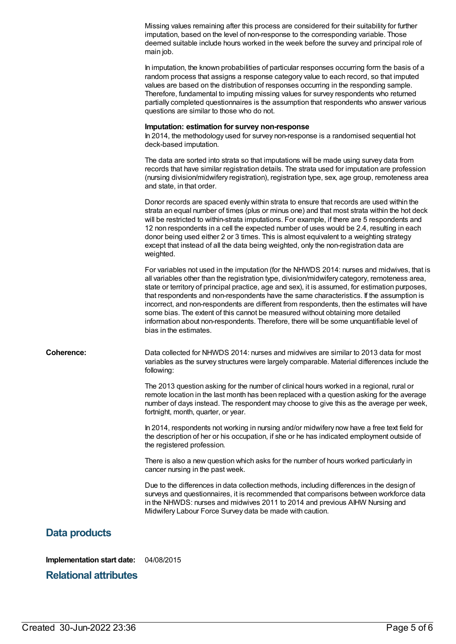|                   | Missing values remaining after this process are considered for their suitability for further<br>imputation, based on the level of non-response to the corresponding variable. Those<br>deemed suitable include hours worked in the week before the survey and principal role of<br>main job.                                                                                                                                                                                                                                                                                                                                                                                                        |
|-------------------|-----------------------------------------------------------------------------------------------------------------------------------------------------------------------------------------------------------------------------------------------------------------------------------------------------------------------------------------------------------------------------------------------------------------------------------------------------------------------------------------------------------------------------------------------------------------------------------------------------------------------------------------------------------------------------------------------------|
|                   | In imputation, the known probabilities of particular responses occurring form the basis of a<br>random process that assigns a response category value to each record, so that imputed<br>values are based on the distribution of responses occurring in the responding sample.<br>Therefore, fundamental to imputing missing values for survey respondents who returned<br>partially completed questionnaires is the assumption that respondents who answer various<br>questions are similar to those who do not.                                                                                                                                                                                   |
|                   | Imputation: estimation for survey non-response<br>In 2014, the methodology used for survey non-response is a randomised sequential hot<br>deck-based imputation.                                                                                                                                                                                                                                                                                                                                                                                                                                                                                                                                    |
|                   | The data are sorted into strata so that imputations will be made using survey data from<br>records that have similar registration details. The strata used for imputation are profession<br>(nursing division/midwifery registration), registration type, sex, age group, remoteness area<br>and state, in that order.                                                                                                                                                                                                                                                                                                                                                                              |
|                   | Donor records are spaced evenly within strata to ensure that records are used within the<br>strata an equal number of times (plus or minus one) and that most strata within the hot deck<br>will be restricted to within-strata imputations. For example, if there are 5 respondents and<br>12 non respondents in a cell the expected number of uses would be 2.4, resulting in each<br>donor being used either 2 or 3 times. This is almost equivalent to a weighting strategy<br>except that instead of all the data being weighted, only the non-registration data are<br>weighted.                                                                                                              |
|                   | For variables not used in the imputation (for the NHWDS 2014: nurses and midwives, that is<br>all variables other than the registration type, division/midwifery category, remoteness area,<br>state or territory of principal practice, age and sex), it is assumed, for estimation purposes,<br>that respondents and non-respondents have the same characteristics. If the assumption is<br>incorrect, and non-respondents are different from respondents, then the estimates will have<br>some bias. The extent of this cannot be measured without obtaining more detailed<br>information about non-respondents. Therefore, there will be some unquantifiable level of<br>bias in the estimates. |
| <b>Coherence:</b> | Data collected for NHWDS 2014: nurses and midwives are similar to 2013 data for most<br>variables as the survey structures were largely comparable. Material differences include the<br>following:                                                                                                                                                                                                                                                                                                                                                                                                                                                                                                  |
|                   | The 2013 question asking for the number of clinical hours worked in a regional, rural or<br>remote location in the last month has been replaced with a question asking for the average<br>number of days instead. The respondent may choose to give this as the average per week,<br>fortnight, month, quarter, or year.                                                                                                                                                                                                                                                                                                                                                                            |
|                   | In 2014, respondents not working in nursing and/or midwifery now have a free text field for<br>the description of her or his occupation, if she or he has indicated employment outside of<br>the registered profession.                                                                                                                                                                                                                                                                                                                                                                                                                                                                             |
|                   | There is also a new question which asks for the number of hours worked particularly in<br>cancer nursing in the past week.                                                                                                                                                                                                                                                                                                                                                                                                                                                                                                                                                                          |
|                   | Due to the differences in data collection methods, including differences in the design of<br>surveys and questionnaires, it is recommended that comparisons between workforce data<br>in the NHWDS: nurses and midwives 2011 to 2014 and previous AIHW Nursing and<br>Midwifery Labour Force Survey data be made with caution.                                                                                                                                                                                                                                                                                                                                                                      |
| Data products     |                                                                                                                                                                                                                                                                                                                                                                                                                                                                                                                                                                                                                                                                                                     |

**Implementation start date:** 04/08/2015

**Relational attributes**